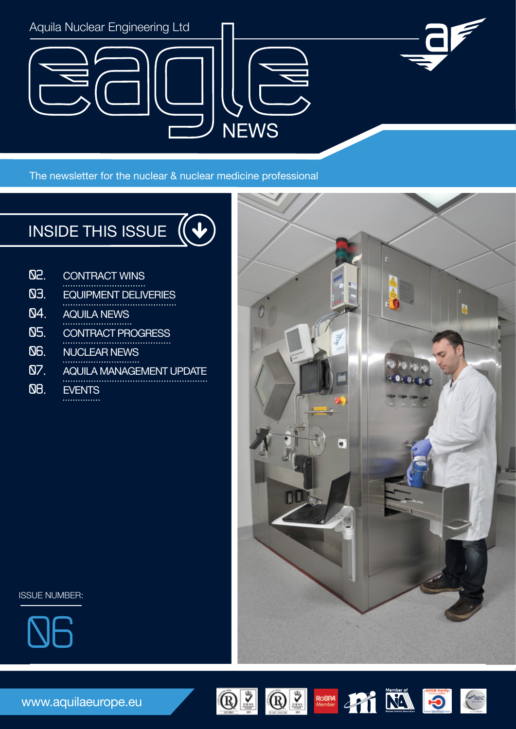

The newsletter for the nuclear & nuclear medicine professional

#### INSIDE THIS ISSUE  $\sqrt{2}$

| Q2.        | <b>CONTRACT WINS</b>            |
|------------|---------------------------------|
| Q3.        | <b>EQUIPMENT DELIVERIES</b>     |
| Q4.        | <b>AQUILA NEWS</b>              |
| Q5.        | <b>CONTRACT PROGRESS</b>        |
| <b>QG.</b> | <b>NUCLEAR NEWS</b>             |
| Q7.        | <b>AQUILA MANAGEMENT UPDATE</b> |
| 88.        | <b>EVENTS</b>                   |
|            |                                 |



ISSUE NUMBER:



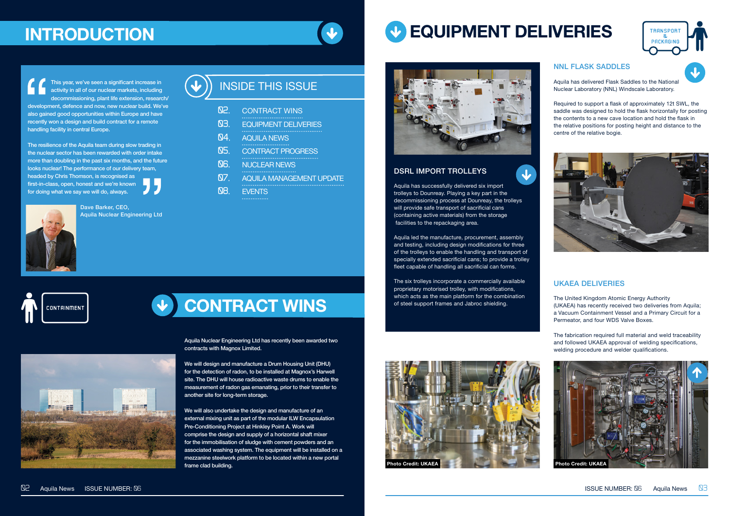#### DSRL IMPORT TROLLEYS

Aquila has successfully delivered six import trolleys to Dounreay. Playing a key part in the decommissioning process at Dounreay, the trolleys will provide safe transport of sacrificial cans (containing active materials) from the storage facilities to the repackaging area.

 $\overline{\mathbf{u}}$ 

Aquila led the manufacture, procurement, assembly and testing, including design modifications for three of the trolleys to enable the handling and transport of specially extended sacrificial cans; to provide a trolley fleet capable of handling all sacrificial can forms.

The six trolleys incorporate a commercially available proprietary motorised trolley, with modifications, which acts as the main platform for the combination of steel support frames and Jabroc shielding.

# **EQUIPMENT DELIVERIES**



#### NNL FLASK SADDLES

Aquila has delivered Flask Saddles to the National Nuclear Laboratory (NNL) Windscale Laboratory.

Required to support a flask of approximately 12t SWL, the saddle was designed to hold the flask horizontally for posting the contents to a new cave location and hold the flask in the relative positions for posting height and distance to the centre of the relative bogie.



Aquila Nuclear Engineering Ltd has recently been awarded two contracts with Magnox Limited.

- **03.**  EQUIPMENT DELIVERIES
- **04.**  AQUILA NEWS
- **05.**  CONTRACT PROGRESS
- **<u>NB.</u>** NUCLEAR NEWS
- **07.**  AQUILA MANAGEMENT UPDATE
- **<u>08.</u>** EVENTS

We will design and manufacture a Drum Housing Unit (DHU) for the detection of radon, to be installed at Magnox's Harwell site. The DHU will house radioactive waste drums to enable the measurement of radon gas emanating, prior to their transfer to another site for long-term storage.

We will also undertake the design and manufacture of an external mixing unit as part of the modular ILW Encapsulation Pre-Conditioning Project at Hinkley Point A. Work will comprise the design and supply of a horizontal shaft mixer for the immobilisation of sludge with cement powders and an associated washing system. The equipment will be installed on a mezzanine steelwork platform to be located within a new portal frame clad building.





This year, we've seen a significant increase in activity in all of our nuclear markets, including decommissioning, plant life extension, research/ development, defence and now, new nuclear build. We've also gained good opportunities within Europe and have recently won a design and build contract for a remote handling facility in central Europe.

The resilience of the Aquila team during slow trading in the nuclear sector has been rewarded with order intake more than doubling in the past six months, and the future looks nuclear! The performance of our delivery team, headed by Chris Thomson, is recognised as first-in-class, open, honest and we're known for doing what we say we will do, always.



# **CONTRACT WINS**



# **INTRODUCTION**

| Q2. | <b>CONTRACT WINS</b> |  |
|-----|----------------------|--|
|     |                      |  |
| כה  | FALUDI JENIT BELIUTE |  |

### INSIDE THIS ISSUE

#### UKAEA DELIVERIES

The United Kingdom Atomic Energy Authority (UKAEA) has recently received two deliveries from Aquila; a Vacuum Containment Vessel and a Primary Circuit for a Permeator, and four WDS Valve Boxes.

The fabrication required full material and weld traceability and followed UKAEA approval of welding specifications, welding procedure and welder qualifications.



Dave Barker, CEO, Aquila Nuclear Engineering Ltd



**CONTAINMENT**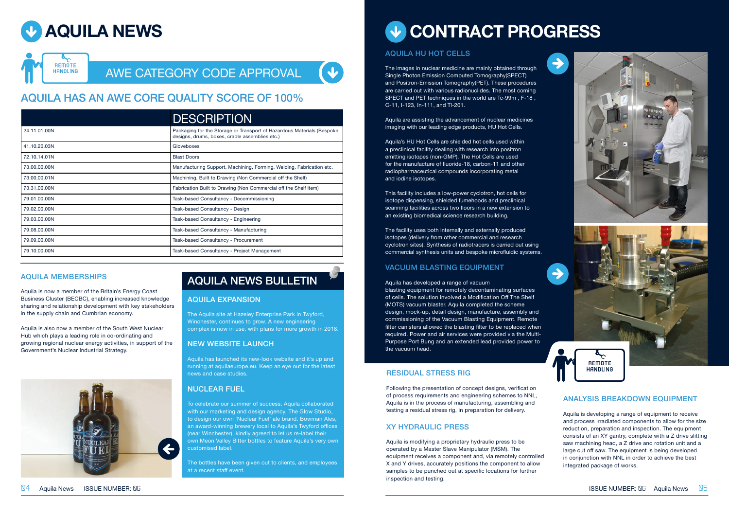### AWE CATEGORY CODE APPROVAL

|              | <b>DESCRIPTION</b>                                                                                                        |
|--------------|---------------------------------------------------------------------------------------------------------------------------|
| 24.11.01.00N | Packaging for the Storage or Transport of Hazardous Materials (Bespoke)<br>designs, drums, boxes, cradle assemblies etc.) |
| 41.10.20.03N | Gloveboxes                                                                                                                |
| 72.10.14.01N | <b>Blast Doors</b>                                                                                                        |
| 73.00.00.00N | Manufacturing Support, Machining, Forming, Welding, Fabrication etc.                                                      |
| 73.00.00.01N | Machining. Built to Drawing (Non Commercial off the Shelf)                                                                |
| 73.31.00.00N | Fabrication Built to Drawing (Non Commercial off the Shelf item)                                                          |
| 79.01.00.00N | Task-based Consultancy - Decommissioning                                                                                  |
| 79.02.00.00N | Task-based Consultancy - Design                                                                                           |
| 79.03.00.00N | Task-based Consultancy - Engineering                                                                                      |
| 79.08.00.00N | Task-based Consultancy - Manufacturing                                                                                    |
| 79.09.00.00N | Task-based Consultancy - Procurement                                                                                      |
| 79.10.00.00N | Task-based Consultancy - Project Management                                                                               |
|              |                                                                                                                           |

### AQUILA HAS AN AWE CORE QUALITY SCORE OF 100%

#### AQUILA HU HOT CELLS

The images in nuclear medicine are mainly obtained through Single Photon Emission Computed Tomography(SPECT) and Positron-Emission Tomography(PET). These procedures are carried out with various radionuclides. The most coming SPECT and PET techniques in the world are Tc-99m , F-18 , C-11, I-123, In-111, and Tl-201.

Aquila are assisting the advancement of nuclear medicines imaging with our leading edge products, HU Hot Cells.

blasting equipment for remotely decontaminating surfaces of cells. The solution involved a Modification Off The Shelf (MOTS) vacuum blaster. Aquila completed the scheme design, mock-up, detail design, manufacture, assembly and commissioning of the Vacuum Blasting Equipment. Remote filter canisters allowed the blasting filter to be replaced when required. Power and air services were provided via the Multi-Purpose Port Bung and an extended lead provided power to the vacuum head.

Aquila's HU Hot Cells are shielded hot cells used within a preclinical facility dealing with research into positron emitting isotopes (non-GMP). The Hot Cells are used for the manufacture of fluoride-18, carbon-11 and other radiopharmaceutical compounds incorporating metal and iodine isotopes.

This facility includes a low-power cyclotron, hot cells for isotope dispensing, shielded fumehoods and preclinical scanning facilities across two floors in a new extension to an existing biomedical science research building.

The facility uses both internally and externally produced isotopes (delivery from other commercial and research cyclotron sites). Synthesis of radiotracers is carried out using commercial synthesis units and bespoke microfluidic systems.

#### VACUUM BLASTING EQUIPMENT

#### Aquila has developed a range of vacuum





#### AQUILA MEMBERSHIPS

Aquila is now a member of the Britain's Energy Coast Business Cluster (BECBC), enabling increased knowledge sharing and relationship development with key stakeholders in the supply chain and Cumbrian economy.

Aquila is also now a member of the South West Nuclear Hub which plays a leading role in co-ordinating and growing regional nuclear energy activities, in support of the Government's Nuclear Industrial Strategy.



# **CONTRACT PROGRESS**

#### AQUILA EXPANSION

The Aquila site at Hazeley Enterprise Park in Twyford, Winchester, continues to grow. A new engineering complex is now in use, with plans for more growth in 2018.

#### NEW WEBSITE LAUNCH

Aquila has launched its new-look website and it's up and running at aquilaeurope.eu. Keep an eye out for the latest news and case studies.

#### NUCLEAR FUEL

To celebrate our summer of success, Aquila collaborated with our marketing and design agency, The Glow Studio, to design our own 'Nuclear Fuel' ale brand. Bowman Ales, an award-winning brewery local to Aquila's Twyford offices (near Winchester), kindly agreed to let us re-label their own Meon Valley Bitter bottles to feature Aquila's very own customised label.

The bottles have been given out to clients, and employees at a recent staff event.

### AQUILA NEWS BULLETIN

#### RESIDUAL STRESS RIG

Following the presentation of concept designs, verification of process requirements and engineering schemes to NNL, Aquila is in the process of manufacturing, assembling and testing a residual stress rig, in preparation for delivery.

#### XY HYDRAULIC PRESS

Aquila is modifying a proprietary hydraulic press to be operated by a Master Slave Manipulator (MSM). The equipment receives a component and, via remotely controlled X and Y drives, accurately positions the component to allow samples to be punched out at specific locations for further inspection and testing.





#### ANALYSIS BREAKDOWN EQUIPMENT

Aquila is developing a range of equipment to receive and process irradiated components to allow for the size reduction, preparation and inspection. The equipment consists of an XY gantry, complete with a Z drive slitting saw machining head, a Z drive and rotation unit and a large cut off saw. The equipment is being developed in conjunction with NNL in order to achieve the best integrated package of works.

**ISSUE NUMBER: 06** Aquila News  $\sqrt{0.05}$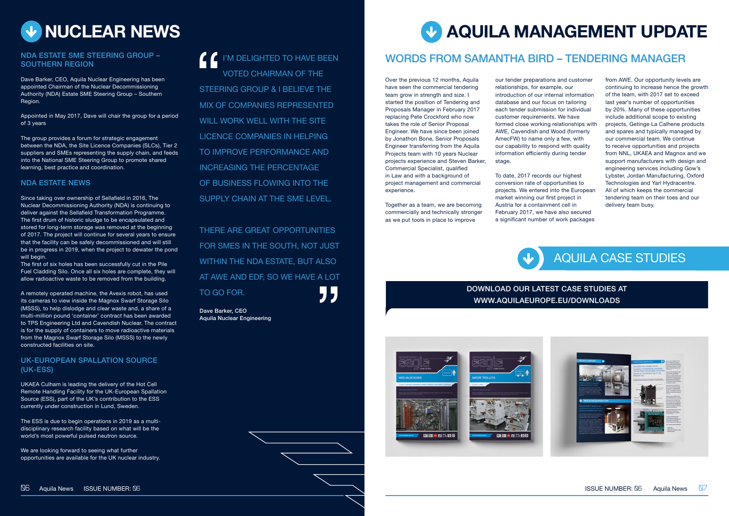

#### NDA ESTATE SME STEERING GROUP – SOUTHERN REGION

Dave Barker, CEO, Aquila Nuclear Engineering has been appointed Chairman of the Nuclear Decommissioning Authority (NDA) Estate SME Steering Group – Southern Region.

Appointed in May 2017, Dave will chair the group for a period of 3 years

The group provides a forum for strategic engagement between the NDA, the Site Licence Companies (SLCs), Tier 2 suppliers and SMEs representing the supply chain, and feeds into the National SME Steering Group to promote shared learning, best practice and coordination.

#### NDA ESTATE NEWS

Since taking over ownership of Sellafield in 2016, The Nuclear Decommissioning Authority (NDA) is continuing to deliver against the Sellafield Transformation Programme. The first drum of historic sludge to be encapsulated and stored for long-term storage was removed at the beginning of 2017. The project will continue for several years to ensure that the facility can be safely decommissioned and will still be in progress in 2019, when the project to dewater the pond will begin.

The first of six holes has been successfully cut in the Pile Fuel Cladding Silo. Once all six holes are complete, they will allow radioactive waste to be removed from the building.

A remotely operated machine, the Avexis robot, has used its cameras to view inside the Magnox Swarf Storage Silo (MSSS), to help dislodge and clear waste and, a share of a multi-million pound 'container' contract has been awarded to TPS Engineering Ltd and Cavendish Nuclear. The contract is for the supply of containers to move radioactive materials from the Magnox Swarf Storage Silo (MSSS) to the newly constructed facilities on site.

#### UK-EUROPEAN SPALLATION SOURCE (UK-ESS)

UKAEA Culham is leading the delivery of the Hot Cell Remote Handling Facility for the UK-European Spallation Source (ESS), part of the UK's contribution to the ESS currently under construction in Lund, Sweden.

The ESS is due to begin operations in 2019 as a multidisciplinary research facility based on what will be the world's most powerful pulsed neutron source.

We are looking forward to seeing what further opportunities are available for the UK nuclear industry.

I'M DELIGHTED TO HAVE BEEN VOTED CHAIRMAN OF THE STEERING GROUP & I BELIEVE THE MIX OF COMPANIES REPRESENTED WILL WORK WELL WITH THE SITE LICENCE COMPANIES IN HELPING TO IMPROVE PERFORMANCE AND INCREASING THE PERCENTAGE OF BUSINESS FLOWING INTO THE SUPPLY CHAIN AT THE SME LEVEL.

# **AQUILA MANAGEMENT UPDATE**

Over the previous 12 months, Aquila have seen the commercial tendering team grow in strength and size. I started the position of Tendering and Proposals Manager in February 2017 replacing Pete Crockford who now takes the role of Senior Proposal Engineer. We have since been joined by Jonathon Bone, Senior Proposals Engineer transferring from the Aquila Projects team with 10 years Nuclear projects experience and Steven Barker, Commercial Specialist, qualified in Law and with a background of project management and commercial experience.

Together as a team, we are becoming commercially and technically stronger as we put tools in place to improve

our tender preparations and customer relationships, for example, our introduction of our internal information database and our focus on tailoring each tender submission for individual customer requirements. We have formed close working relationships with AWE, Cavendish and Wood (formerly AmecFW) to name only a few, with our capability to respond with quality information efficiently during tender stage.

To date, 2017 records our highest conversion rate of opportunities to projects. We entered into the European market winning our first project in Austria for a containment cell in February 2017, we have also secured a significant number of work packages

from AWE. Our opportunity levels are continuing to increase hence the growth of the team, with 2017 set to exceed last year's number of opportunities by 20%. Many of these opportunities include additional scope to existing projects, Getinge La Calhene products and spares and typically managed by our commercial team. We continue to receive opportunities and projects from NNL, UKAEA and Magnox and we support manufacturers with design and engineering services including Gow's Lybster, Jordan Manufacturing, Oxford Technologies and Yarl Hydracentre. All of which keeps the commercial tendering team on their toes and our delivery team busy.

### WORDS FROM SAMANTHA BIRD – TENDERING MANAGER

## AQUILA CASE STUDIES



#### DOWNLOAD OUR LATEST CASE STUDIES AT WWW.AQUILAEUROPE.EU/DOWNLOADS



THERE ARE GREAT OPPORTUNITIES FOR SMES IN THE SOUTH, NOT JUST WITHIN THE NDA ESTATE, BUT ALSO AT AWE AND EDF, SO WE HAVE A LOT TO GO FOR.

Dave Barker, CEO Aquila Nuclear Engineering